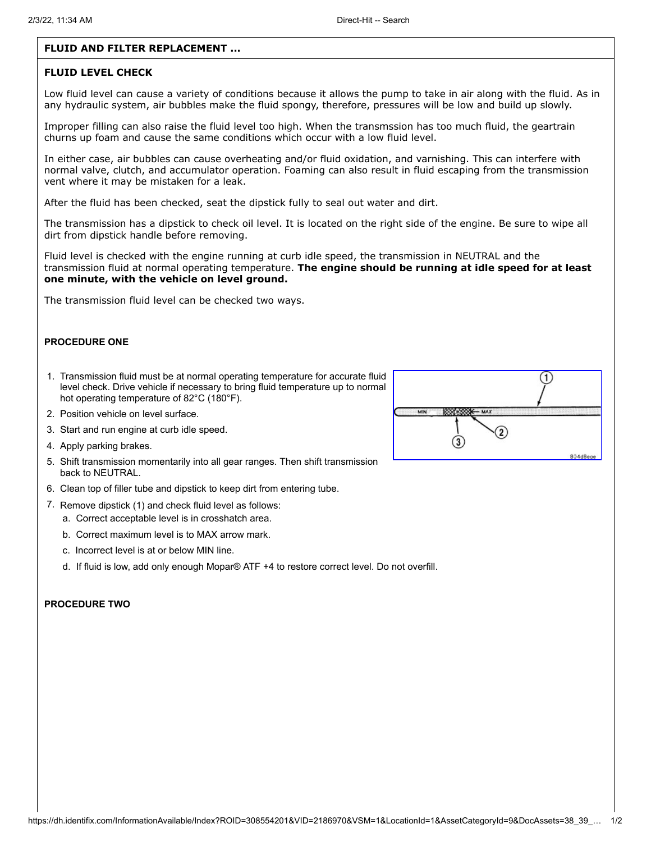## **FLUID AND FILTER REPLACEMENT ...**

## **FLUID LEVEL CHECK**

Low fluid level can cause a variety of conditions because it allows the pump to take in air along with the fluid. As in any hydraulic system, air bubbles make the fluid spongy, therefore, pressures will be low and build up slowly.

Improper filling can also raise the fluid level too high. When the transmssion has too much fluid, the geartrain churns up foam and cause the same conditions which occur with a low fluid level.

In either case, air bubbles can cause overheating and/or fluid oxidation, and varnishing. This can interfere with normal valve, clutch, and accumulator operation. Foaming can also result in fluid escaping from the transmission vent where it may be mistaken for a leak.

After the fluid has been checked, seat the dipstick fully to seal out water and dirt.

The transmission has a dipstick to check oil level. It is located on the right side of the engine. Be sure to wipe all dirt from dipstick handle before removing.

Fluid level is checked with the engine running at curb idle speed, the transmission in NEUTRAL and the transmission fluid at normal operating temperature. **The engine should be running at idle speed for at least one minute, with the vehicle on level ground.**

The transmission fluid level can be checked two ways.

#### **PROCEDURE ONE**

- 1. Transmission fluid must be at normal operating temperature for accurate fluid level check. Drive vehicle if necessary to bring fluid temperature up to normal hot operating temperature of 82°C (180°F).
- 2. Position vehicle on level surface.
- 3. Start and run engine at curb idle speed.
- 4. Apply parking brakes.
- 5. Shift transmission momentarily into all gear ranges. Then shift transmission back to NEUTRAL.
- 6. Clean top of filler tube and dipstick to keep dirt from entering tube.
- 7. Remove dipstick (1) and check fluid level as follows:
	- a. Correct acceptable level is in crosshatch area.
	- b. Correct maximum level is to MAX arrow mark.
	- c. Incorrect level is at or below MIN line.
	- d. If fluid is low, add only enough Mopar® ATF +4 to restore correct level. Do not overfill.

### **PROCEDURE TWO**